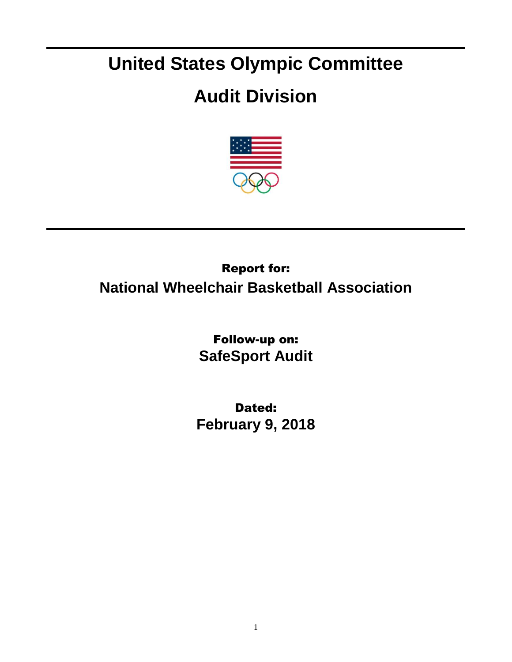## **United States Olympic Committee**

## **Audit Division**



## Report for: **National Wheelchair Basketball Association**

Follow-up on: **SafeSport Audit**

Dated: **February 9, 2018**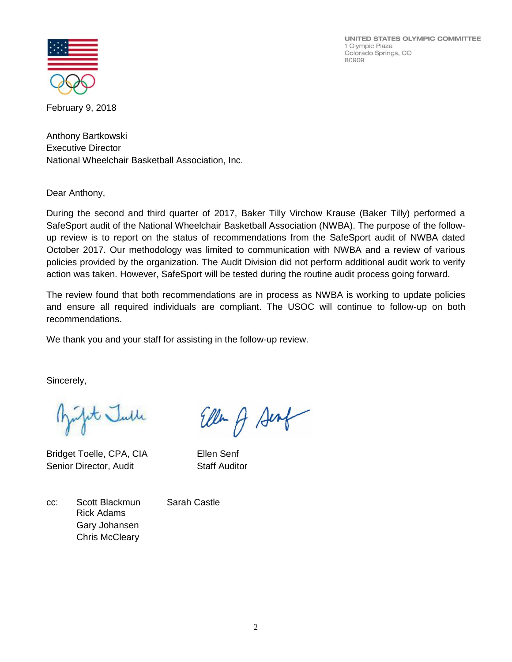UNITED STATES OLYMPIC COMMITTEE 1 Olympic Plaza Colorado Springs, CO 80909



February 9, 2018

Anthony Bartkowski Executive Director National Wheelchair Basketball Association, Inc.

Dear Anthony,

During the second and third quarter of 2017, Baker Tilly Virchow Krause (Baker Tilly) performed a SafeSport audit of the National Wheelchair Basketball Association (NWBA). The purpose of the followup review is to report on the status of recommendations from the SafeSport audit of NWBA dated October 2017. Our methodology was limited to communication with NWBA and a review of various policies provided by the organization. The Audit Division did not perform additional audit work to verify action was taken. However, SafeSport will be tested during the routine audit process going forward.

The review found that both recommendations are in process as NWBA is working to update policies and ensure all required individuals are compliant. The USOC will continue to follow-up on both recommendations.

We thank you and your staff for assisting in the follow-up review.

Sincerely,

pt Julle

Bridget Toelle, CPA, CIA Ellen Senf Senior Director, Audit Staff Auditor

Ellen A Senf

cc: Scott Blackmun Sarah Castle Rick Adams Gary Johansen Chris McCleary